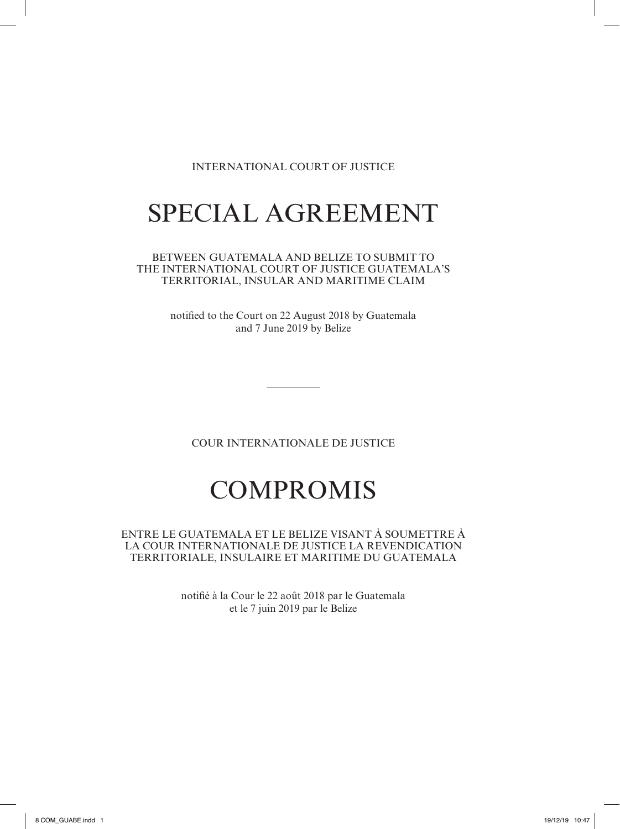# INTERNATIONAL COURT OF JUSTICE

# SPECIAL AGREEMENT

BETWEEN GUATEMALA AND BELIZE TO SUBMIT TO THE INTERNATIONAL COURT OF JUSTICE GUATEMALA'S TERRITORIAL, INSULAR AND MARITIME CLAIM

> notified to the Court on 22 August 2018 by Guatemala and 7 June 2019 by Belize

COUR INTERNATIONALE DE JUSTICE

# COMPROMIS

ENTRE LE GUATEMALA ET LE BELIZE VISANT À SOUMETTRE À LA COUR INTERNATIONALE DE JUSTICE LA REVENDICATION TERRITORIALE, INSULAIRE ET MARITIME DU GUATEMALA

> notifié à la Cour le 22 août 2018 par le Guatemala et le 7 juin 2019 par le Belize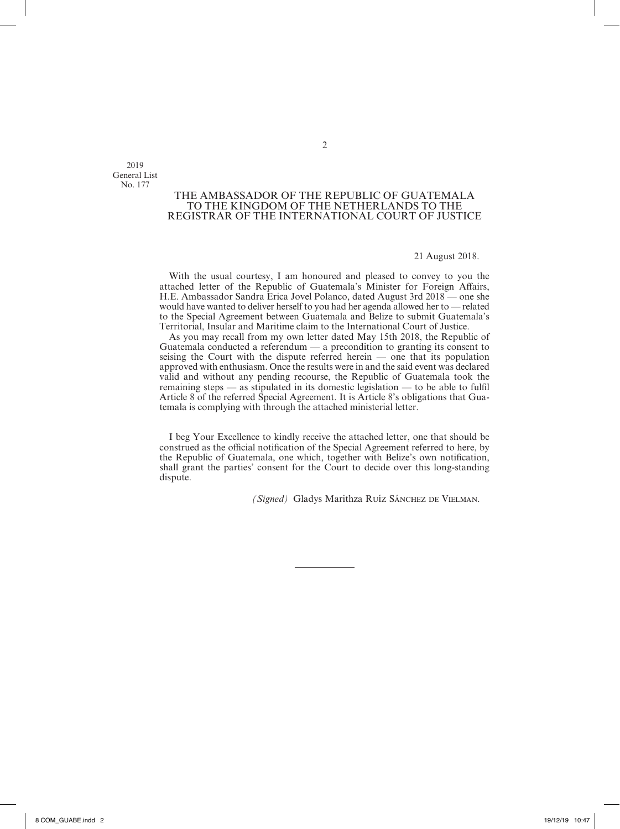2019 General List No. 177

# THE AMBASSADOR OF THE REPUBLIC OF GUATEMALA TO THE KINGDOM OF THE NETHERLANDS TO THE REGISTRAR OF THE INTERNATIONAL COURT OF JUSTICE

# 21 August 2018.

With the usual courtesy, I am honoured and pleased to convey to you the attached letter of the Republic of Guatemala's Minister for Foreign Affairs, H.E. Ambassador Sandra Erica Jovel Polanco, dated August 3rd 2018 — one she would have wanted to deliver herself to you had her agenda allowed her to — related to the Special Agreement between Guatemala and Belize to submit Guatemala's Territorial, Insular and Maritime claim to the International Court of Justice.

As you may recall from my own letter dated May 15th 2018, the Republic of Guatemala conducted a referendum — a precondition to granting its consent to seising the Court with the dispute referred herein — one that its population approved with enthusiasm. Once the results were in and the said event was declared valid and without any pending recourse, the Republic of Guatemala took the remaining steps — as stipulated in its domestic legislation — to be able to fulfil Article 8 of the referred Special Agreement. It is Article 8's obligations that Guatemala is complying with through the attached ministerial letter.

I beg Your Excellence to kindly receive the attached letter, one that should be construed as the official notification of the Special Agreement referred to here, by the Republic of Guatemala, one which, together with Belize's own notification, shall grant the parties' consent for the Court to decide over this long-standing dispute.

*(Signed)* Gladys Marithza Ruíz Sánchez de Vielman.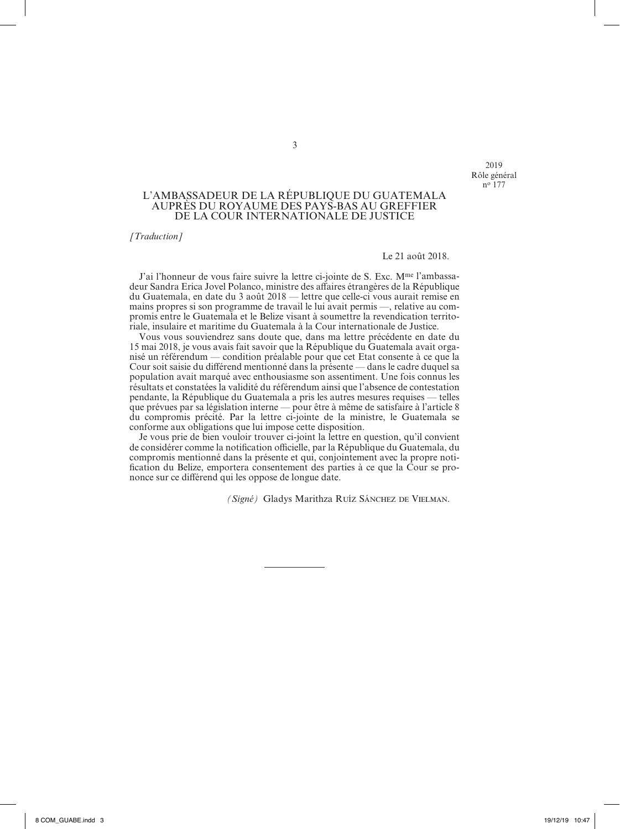2019 Rôle général no 177

# L'AMBASSADEUR DE LA RÉPUBLIQUE DU GUATEMALA AUPRÈS DU ROYAUME DES PAYS-BAS AU GREFFIER DE LA COUR INTERNATIONALE DE JUSTICE

*[Traduction]*

#### Le 21 août 2018.

J'ai l'honneur de vous faire suivre la lettre ci-jointe de S. Exc. M<sup>me</sup> l'ambassadeur Sandra Erica Jovel Polanco, ministre des affaires étrangères de la République du Guatemala, en date du 3 août 2018 — lettre que celle-ci vous aurait remise en mains propres si son programme de travail le lui avait permis —, relative au compromis entre le Guatemala et le Belize visant à soumettre la revendication territoriale, insulaire et maritime du Guatemala à la Cour internationale de Justice.

Vous vous souviendrez sans doute que, dans ma lettre précédente en date du 15 mai 2018, je vous avais fait savoir que la République du Guatemala avait organisé un référendum — condition préalable pour que cet Etat consente à ce que la Cour soit saisie du différend mentionné dans la présente — dans le cadre duquel sa population avait marqué avec enthousiasme son assentiment. Une fois connus les résultats et constatées la validité du référendum ainsi que l'absence de contestation pendante, la République du Guatemala a pris les autres mesures requises — telles que prévues par sa législation interne — pour être à même de satisfaire à l'article 8 du compromis précité. Par la lettre ci-jointe de la ministre, le Guatemala se conforme aux obligations que lui impose cette disposition.

Je vous prie de bien vouloir trouver ci-joint la lettre en question, qu'il convient de considérer comme la notification officielle, par la République du Guatemala, du compromis mentionné dans la présente et qui, conjointement avec la propre notification du Belize, emportera consentement des parties à ce que la Cour se prononce sur ce différend qui les oppose de longue date.

*(Signé)* Gladys Marithza Ruíz Sánchez de Vielman.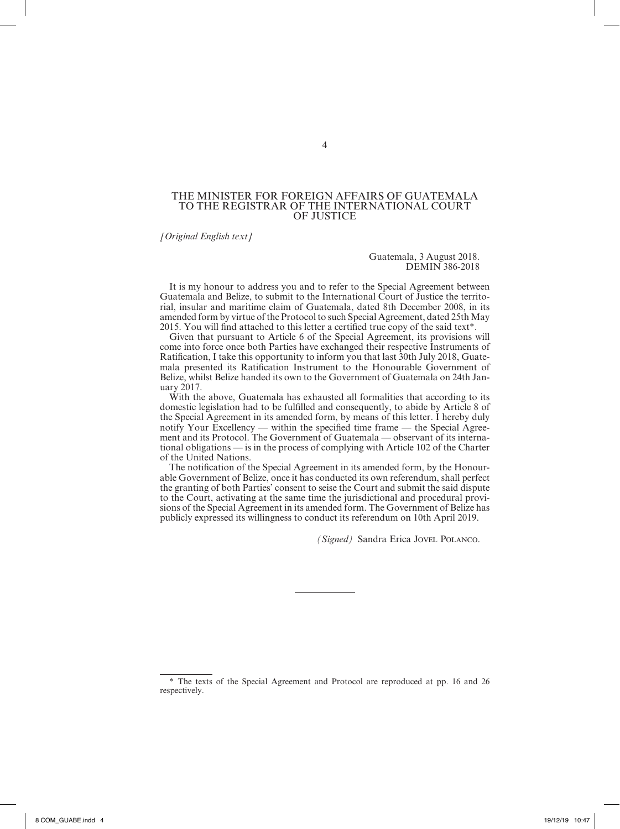#### THE MINISTER FOR FOREIGN AFFAIRS OF GUATEMALA TO THE REGISTRAR OF THE INTERNATIONAL COURT OF JUSTICE

*[Original English text]*

Guatemala, 3 August 2018. DEMIN 386-2018

It is my honour to address you and to refer to the Special Agreement between Guatemala and Belize, to submit to the International Court of Justice the territorial, insular and maritime claim of Guatemala, dated 8th December 2008, in its amended form by virtue of the Protocol to such Special Agreement, dated 25th May 2015. You will find attached to this letter a certified true copy of the said text\*.1

Given that pursuant to Article 6 of the Special Agreement, its provisions will come into force once both Parties have exchanged their respective Instruments of Ratification, I take this opportunity to inform you that last 30th July 2018, Guate– mala presented its Ratification Instrument to the Honourable Government of Belize, whilst Belize handed its own to the Government of Guatemala on 24th January 2017.

With the above, Guatemala has exhausted all formalities that according to its domestic legislation had to be fulfilled and consequently, to abide by Article 8 of the Special Agreement in its amended form, by means of this letter. I hereby duly notify Your Excellency — within the specified time frame — the Special Agree– ment and its Protocol. The Government of Guatemala — observant of its international obligations — is in the process of complying with Article 102 of the Charter of the United Nations.

The notification of the Special Agreement in its amended form, by the Honourable Government of Belize, once it has conducted its own referendum, shall perfect the granting of both Parties' consent to seise the Court and submit the said dispute to the Court, activating at the same time the jurisdictional and procedural provisions of the Special Agreement in its amended form. The Government of Belize has publicly expressed its willingness to conduct its referendum on 10th April 2019.

*(Signed)* Sandra Erica Jovel Polanco.

<sup>\*</sup> The texts of the Special Agreement and Protocol are reproduced at pp. 16 and 26 respectively.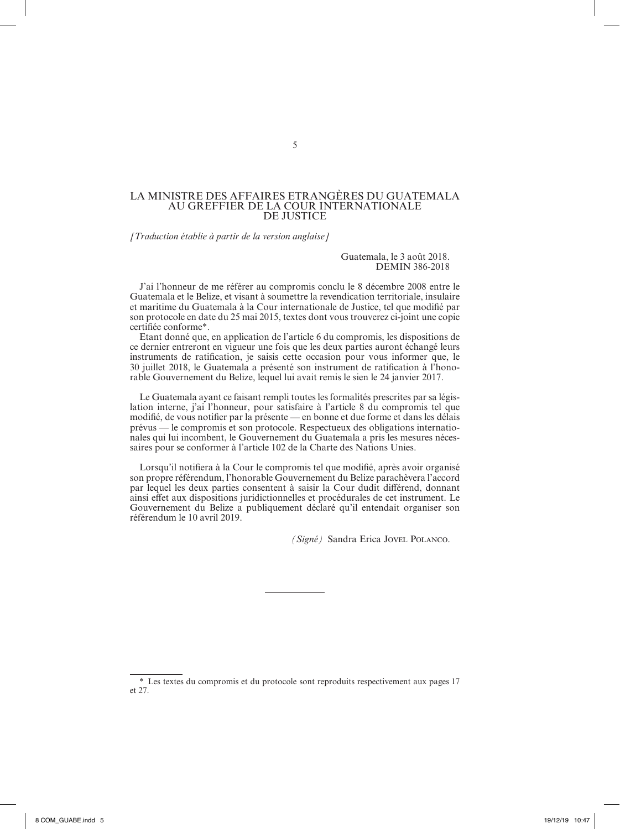#### LA MINISTRE DES AFFAIRES ETRANGÈRES DU GUATEMALA AU GREFFIER DE LA COUR INTERNATIONALE DE JUSTICE

*[Traduction établie à partir de la version anglaise]*

Guatemala, le 3 août 2018. DEMIN 386-2018

J'ai l'honneur de me référer au compromis conclu le 8 décembre 2008 entre le Guatemala et le Belize, et visant à soumettre la revendication territoriale, insulaire et maritime du Guatemala à la Cour internationale de Justice, tel que modifié par son protocole en date du 25 mai 2015, textes dont vous trouverez ci-joint une copie certifiée conforme\*.

Etant donné que, en application de l'article 6 du compromis, les dispositions de ce dernier entreront en vigueur une fois que les deux parties auront échangé leurs instruments de ratification, je saisis cette occasion pour vous informer que, le 30 juillet 2018, le Guatemala a présenté son instrument de ratification à l'honorable Gouvernement du Belize, lequel lui avait remis le sien le 24 janvier 2017.

Le Guatemala ayant ce faisant rempli toutes les formalités prescrites par sa législation interne, j'ai l'honneur, pour satisfaire à l'article 8 du compromis tel que modifié, de vous notifier par la présente — en bonne et due forme et dans les délais prévus — le compromis et son protocole. Respectueux des obligations internatio‑ nales qui lui incombent, le Gouvernement du Guatemala a pris les mesures néces‑ saires pour se conformer à l'article 102 de la Charte des Nations Unies.

Lorsqu'il notifiera à la Cour le compromis tel que modifié, après avoir organisé son propre référendum, l'honorable Gouvernement du Belize parachèvera l'accord par lequel les deux parties consentent à saisir la Cour dudit différend, donnant ainsi effet aux dispositions juridictionnelles et procédurales de cet instrument. Le Gouvernement du Belize a publiquement déclaré qu'il entendait organiser son référendum le 10 avril 2019.

*(Signé)* Sandra Erica Jovel Polanco.

<sup>\*</sup> Les textes du compromis et du protocole sont reproduits respectivement aux pages 17 et 27.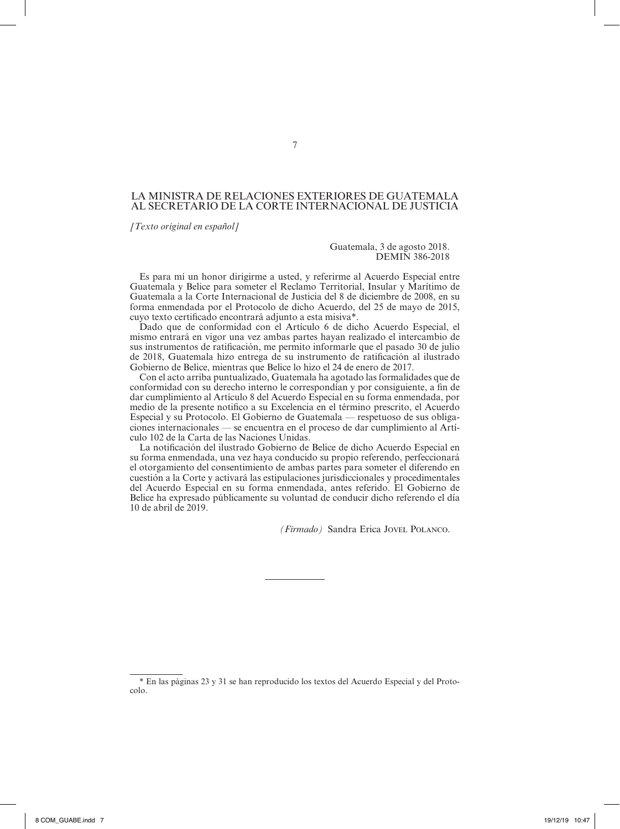# LA MINISTRA DE RELACIONES EXTERIORES DE GUATEMALA AL SECRETARIO DE LA CORTE INTERNACIONAL DE JUSTICIA

*[Texto original en español]*

#### Guatemala, 3 de agosto 2018. DEMIN 386-2018

Es para mí un honor dirigirme a usted, y referirme al Acuerdo Especial entre Guatemala y Belice para someter el Reclamo Territorial, Insular y Marítimo de Guatemala a la Corte Internacional de Justicia del 8 de diciembre de 2008, en su forma enmendada por el Protocolo de dicho Acuerdo, del 25 de mayo de 2015, cuyo texto certificado encontrará adjunto a esta misiva\*.1

Dado que de conformidad con el Artículo 6 de dicho Acuerdo Especial, el mismo entrará en vigor una vez ambas partes hayan realizado el intercambio de sus instrumentos de ratificación, me permito informarle que el pasado 30 de julio de 2018, Guatemala hizo entrega de su instrumento de ratificación al ilustrado Gobierno de Belice, mientras que Belice lo hizo el 24 de enero de 2017.

Con el acto arriba puntualizado, Guatemala ha agotado las formalidades que de conformidad con su derecho interno le correspondían y por consiguiente, a fin de dar cumplimiento al Artículo 8 del Acuerdo Especial en su forma enmendada, por medio de la presente notifico a su Excelencia en el término prescrito, el Acuerdo Especial y su Protocolo. El Gobierno de Guatemala — respetuoso de sus obligaciones internacionales — se encuentra en el proceso de dar cumplimiento al Artículo 102 de la Carta de las Naciones Unidas.

La notificación del ilustrado Gobierno de Belice de dicho Acuerdo Especial en su forma enmendada, una vez haya conducido su propio referendo, perfeccionará el otorgamiento del consentimiento de ambas partes para someter el diferendo en cuestión a la Corte y activará las estipulaciones jurisdiccionales y procedimentales del Acuerdo Especial en su forma enmendada, antes referido. El Gobierno de Belice ha expresado públicamente su voluntad de conducir dicho referendo el día 10 de abril de 2019.

*(Firmado)* Sandra Erica Jovel Polanco.

<sup>\*</sup> En las páginas 23 y 31 se han reproducido los textos del Acuerdo Especial y del Proto‑ colo.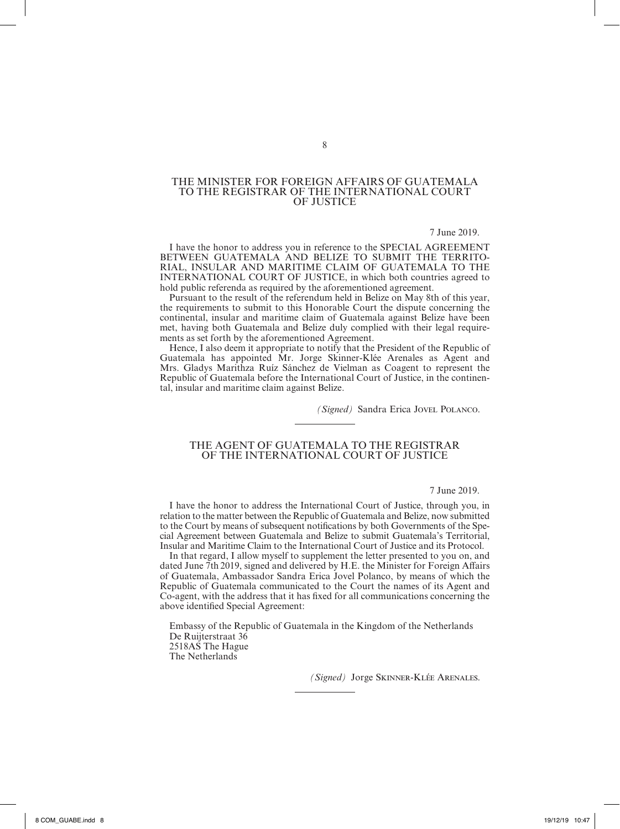# THE MINISTER FOR FOREIGN AFFAIRS OF GUATEMALA TO THE REGISTRAR OF THE INTERNATIONAL COURT OF JUSTICE

#### 7 June 2019.

I have the honor to address you in reference to the SPECIAL AGREEMENT BETWEEN GUATEMALA AND BELIZE TO SUBMIT THE TERRITO-RIAL, INSULAR AND MARITIME CLAIM OF GUATEMALA TO THE INTERNATIONAL COURT OF JUSTICE, in which both countries agreed to hold public referenda as required by the aforementioned agreement.

Pursuant to the result of the referendum held in Belize on May 8th of this year, the requirements to submit to this Honorable Court the dispute concerning the continental, insular and maritime claim of Guatemala against Belize have been met, having both Guatemala and Belize duly complied with their legal requirements as set forth by the aforementioned Agreement.

Hence, I also deem it appropriate to notify that the President of the Republic of Guatemala has appointed Mr. Jorge Skinner‑Klée Arenales as Agent and Mrs. Gladys Marithza Ruíz Sánchez de Vielman as Coagent to represent the Republic of Guatemala before the International Court of Justice, in the continental, insular and maritime claim against Belize.

*(Signed)* Sandra Erica Jovel Polanco.

#### THE AGENT OF GUATEMALA TO THE REGISTRAR OF THE INTERNATIONAL COURT OF JUSTICE

#### 7 June 2019.

I have the honor to address the International Court of Justice, through you, in relation to the matter between the Republic of Guatemala and Belize, now submitted to the Court by means of subsequent notifications by both Governments of the Special Agreement between Guatemala and Belize to submit Guatemala's Territorial, Insular and Maritime Claim to the International Court of Justice and its Protocol.

In that regard, I allow myself to supplement the letter presented to you on, and dated June 7th 2019, signed and delivered by H.E. the Minister for Foreign Affairs of Guatemala, Ambassador Sandra Erica Jovel Polanco, by means of which the Republic of Guatemala communicated to the Court the names of its Agent and Co-agent, with the address that it has fixed for all communications concerning the above identified Special Agreement:

Embassy of the Republic of Guatemala in the Kingdom of the Netherlands De Ruijterstraat 36 2518AS The Hague The Netherlands

*(Signed)* Jorge Skinner-Klée Arenales.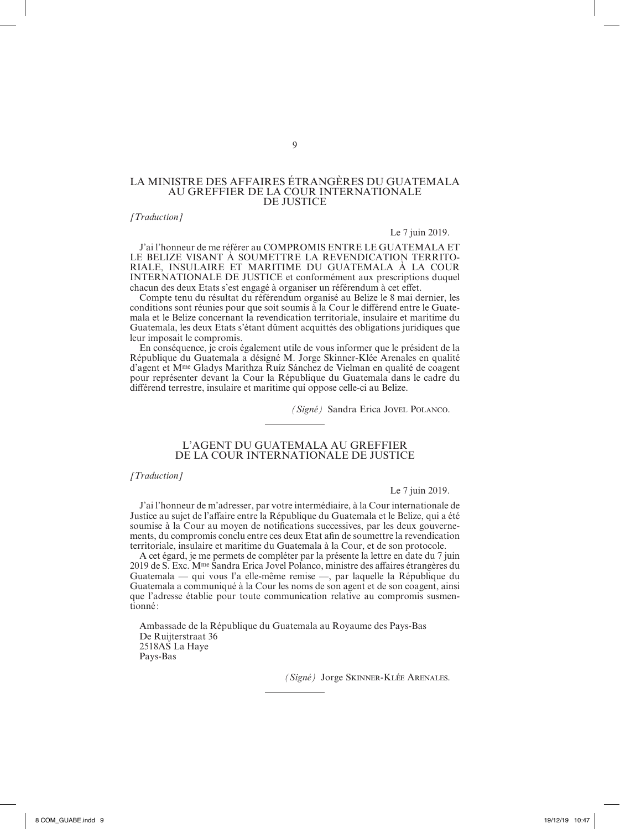# LA MINISTRE DES AFFAIRES ÉTRANGÈRES DU GUATEMALA AU GREFFIER DE LA COUR INTERNATIONALE DE JUSTICE

# *[Traduction]*

#### Le 7 juin 2019.

J'ai l'honneur de me référer au COMPROMIS ENTRE LE GUATEMALA ET LE BELIZE VISANT À SOUMETTRE LA REVENDICATION TERRITO-RIALE, INSULAIRE ET MARITIME DU GUATEMALA À LA COUR INTERNATIONALE DE JUSTICE et conformément aux prescriptions duquel chacun des deux Etats s'est engagé à organiser un référendum à cet effet.

Compte tenu du résultat du référendum organisé au Belize le 8 mai dernier, les conditions sont réunies pour que soit soumis à la Cour le différend entre le Guate– mala et le Belize concernant la revendication territoriale, insulaire et maritime du Guatemala, les deux Etats s'étant dûment acquittés des obligations juridiques que leur imposait le compromis.

En conséquence, je crois également utile de vous informer que le président de la République du Guatemala a désigné M. Jorge Skinner-Klée Arenales en qualité d'agent et Mme Gladys Marithza Ruíz Sánchez de Vielman en qualité de coagent pour représenter devant la Cour la République du Guatemala dans le cadre du différend terrestre, insulaire et maritime qui oppose celle-ci au Belize.

*(Signé)* Sandra Erica Jovel Polanco.

# L'AGENT DU GUATEMALA AU GREFFIER DE LA COUR INTERNATIONALE DE JUSTICE

*[Traduction]*

#### Le 7 juin 2019.

J'ai l'honneur de m'adresser, par votre intermédiaire, à la Cour internationale de Justice au sujet de l'affaire entre la République du Guatemala et le Belize, qui a été soumise à la Cour au moyen de notifications successives, par les deux gouverne‑ ments, du compromis conclu entre ces deux Etat afin de soumettre la revendication territoriale, insulaire et maritime du Guatemala à la Cour, et de son protocole.

A cet égard, je me permets de compléter par la présente la lettre en date du 7 juin 2019 de S. Exc. Mme Sandra Erica Jovel Polanco, ministre des affaires étrangères du Guatemala — qui vous l'a elle‑même remise —, par laquelle la République du Guatemala a communiqué à la Cour les noms de son agent et de son coagent, ainsi que l'adresse établie pour toute communication relative au compromis susmen tionné :

Ambassade de la République du Guatemala au Royaume des Pays‑Bas De Ruijterstraat 36 2518AS La Haye Pays‑Bas

*(Signé)* Jorge Skinner-Klée Arenales.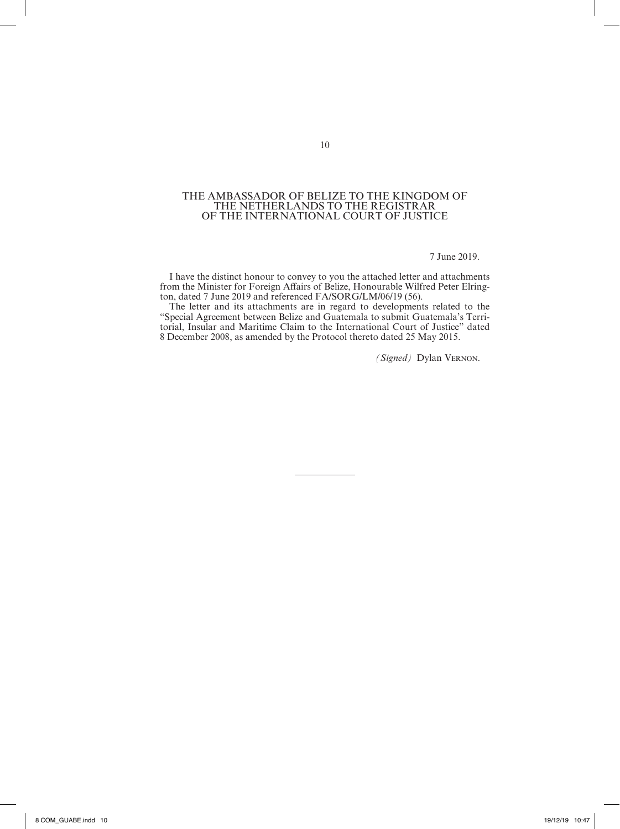#### THE AMBASSADOR OF BELIZE TO THE KINGDOM OF THE NETHERLANDS TO THE REGISTRAR OF THE INTERNATIONAL COURT OF JUSTICE

7 June 2019.

I have the distinct honour to convey to you the attached letter and attachments from the Minister for Foreign Affairs of Belize, Honourable Wilfred Peter Elrington, dated 7 June 2019 and referenced FA/SORG/LM/06/19 (56).

The letter and its attachments are in regard to developments related to the "Special Agreement between Belize and Guatemala to submit Guatemala's Terri‑ torial, Insular and Maritime Claim to the International Court of Justice" dated 8 December 2008, as amended by the Protocol thereto dated 25 May 2015.

*(Signed)* Dylan Vernon.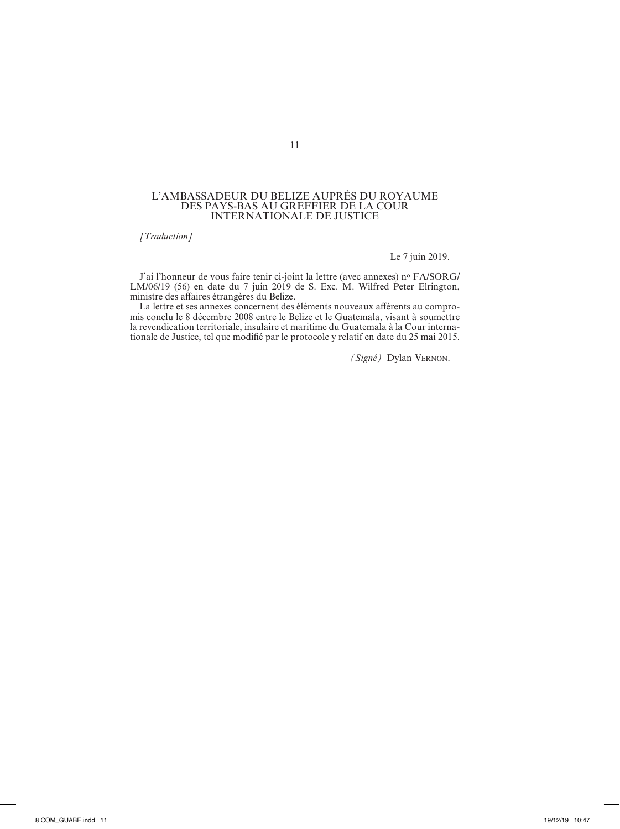#### L'AMBASSADEUR DU BELIZE AUPRES DU ROYAUME DES PAYS-BAS AU GREFFIER DE LA COUR INTERNATIONALE DE JUSTICE

*[Traduction]*

Le 7 juin 2019.

J'ai l'honneur de vous faire tenir ci-joint la lettre (avec annexes) n° FA/SORG/ LM/06/19 (56) en date du 7 juin 2019 de S. Exc. M. Wilfred Peter Elrington, ministre des affaires étrangères du Belize.

La lettre et ses annexes concernent des éléments nouveaux afférents au compromis conclu le 8 décembre 2008 entre le Belize et le Guatemala, visant à soumettre la revendication territoriale, insulaire et maritime du Guatemala à la Cour internationale de Justice, tel que modifié par le protocole y relatif en date du 25 mai 2015.

*(Signé)* Dylan Vernon.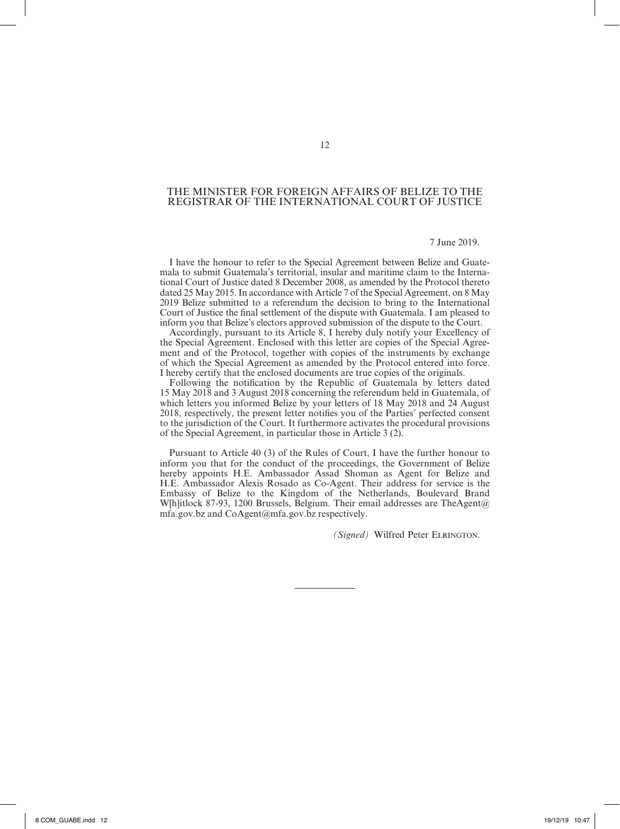# THE MINISTER FOR FOREIGN AFFAIRS OF BELIZE TO THE REGISTRAR OF THE INTERNATIONAL COURT OF JUSTICE

# 7 June 2019.

I have the honour to refer to the Special Agreement between Belize and Guate‑ mala to submit Guatemala's territorial, insular and maritime claim to the International Court of Justice dated 8 December 2008, as amended by the Protocol thereto dated 25 May 2015. In accordance with Article 7 of the Special Agreement, on 8 May 2019 Belize submitted to a referendum the decision to bring to the International Court of Justice the final settlement of the dispute with Guatemala. I am pleased to inform you that Belize's electors approved submission of the dispute to the Court.

Accordingly, pursuant to its Article 8, I hereby duly notify your Excellency of the Special Agreement. Enclosed with this letter are copies of the Special Agreement and of the Protocol, together with copies of the instruments by exchange of which the Special Agreement as amended by the Protocol entered into force. I hereby certify that the enclosed documents are true copies of the originals.

Following the notification by the Republic of Guatemala by letters dated 15 May 2018 and 3 August 2018 concerning the referendum held in Guatemala, of which letters you informed Belize by your letters of 18 May 2018 and 24 August 2018, respectively, the present letter notifies you of the Parties' perfected consent to the jurisdiction of the Court. It furthermore activates the procedural provisions of the Special Agreement, in particular those in Article 3 (2).

Pursuant to Article 40 (3) of the Rules of Court, I have the further honour to inform you that for the conduct of the proceedings, the Government of Belize hereby appoints H.E. Ambassador Assad Shoman as Agent for Belize and H.E. Ambassador Alexis Rosado as Co-Agent. Their address for service is the Embassy of Belize to the Kingdom of the Netherlands, Boulevard Brand W[h]itlock 87-93, 1200 Brussels, Belgium. Their email addresses are TheAgent@ mfa.gov.bz and CoAgent@mfa.gov.bz respectively.

*(Signed)* Wilfred Peter Elrington.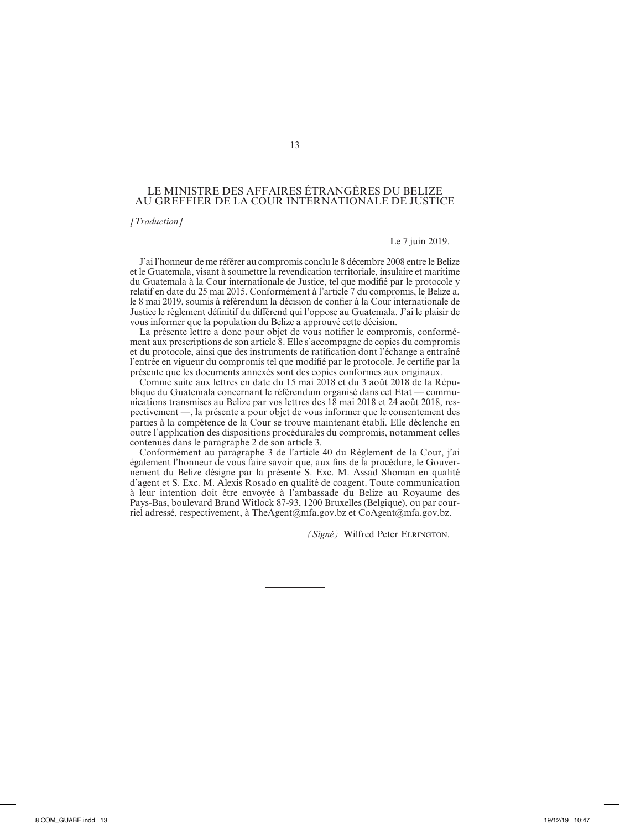# LE MINISTRE DES AFFAIRES ÉTRANGÈRES DU BELIZE AU GREFFIER DE LA COUR INTERNATIONALE DE JUSTICE

*[Traduction]*

Le 7 juin 2019.

J'ai l'honneur de me référer au compromis conclu le 8 décembre 2008 entre le Belize et le Guatemala, visant à soumettre la revendication territoriale, insulaire et maritime du Guatemala à la Cour internationale de Justice, tel que modifié par le protocole y relatif en date du 25 mai 2015. Conformément à l'article 7 du compromis, le Belize a, le 8 mai 2019, soumis à référendum la décision de confier à la Cour internationale de Justice le règlement définitif du différend qui l'oppose au Guatemala. J'ai le plaisir de vous informer que la population du Belize a approuvé cette décision.

La présente lettre a donc pour objet de vous notifier le compromis, conformément aux prescriptions de son article 8. Elle s'accompagne de copies du compromis et du protocole, ainsi que des instruments de ratification dont l'échange a entraîné l'entrée en vigueur du compromis tel que modifié par le protocole. Je certifie par la présente que les documents annexés sont des copies conformes aux originaux.

Comme suite aux lettres en date du 15 mai 2018 et du 3 août 2018 de la République du Guatemala concernant le référendum organisé dans cet Etat — communications transmises au Belize par vos lettres des 18 mai 2018 et 24 août 2018, res‑ pectivement —, la présente a pour objet de vous informer que le consentement des parties à la compétence de la Cour se trouve maintenant établi. Elle déclenche en outre l'application des dispositions procédurales du compromis, notamment celles contenues dans le paragraphe 2 de son article 3.

Conformément au paragraphe 3 de l'article 40 du Règlement de la Cour, j'ai également l'honneur de vous faire savoir que, aux fins de la procédure, le Gouvernement du Belize désigne par la présente S. Exc. M. Assad Shoman en qualité d'agent et S. Exc. M. Alexis Rosado en qualité de coagent. Toute communication à leur intention doit être envoyée à l'ambassade du Belize au Royaume des Pays-Bas, boulevard Brand Witlock 87-93, 1200 Bruxelles (Belgique), ou par courriel adressé, respectivement, à TheAgent@mfa.gov.bz et CoAgent@mfa.gov.bz.

*(Signé)* Wilfred Peter Elrington.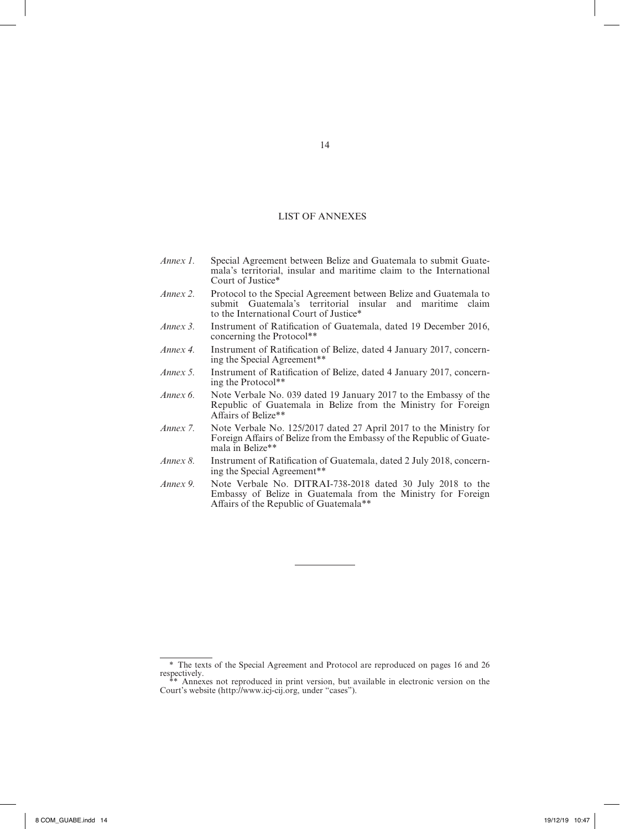# LIST OF ANNEXES

- *Annex 1.* Special Agreement between Belize and Guatemala to submit Guatemala's territorial, insular and maritime claim to the International Court of Justice\* *Annex 2.* Protocol to the Special Agreement between Belize and Guatemala to submit Guatemala's territorial insular and maritime claim to the International Court of Justice\* *Annex 3.* Instrument of Ratification of Guatemala, dated 19 December 2016, concerning the Protocol\*\* *Annex 4.* Instrument of Ratification of Belize, dated 4 January 2017, concerning the Special Agreement\*\* *Annex 5.* Instrument of Ratification of Belize, dated 4 January 2017, concerning the Protocol\*\*
- *Annex 6.* Note Verbale No. 039 dated 19 January 2017 to the Embassy of the Republic of Guatemala in Belize from the Ministry for Foreign Affairs of Belize\*\*
- *Annex 7.* Note Verbale No. 125/2017 dated 27 April 2017 to the Ministry for Foreign Affairs of Belize from the Embassy of the Republic of Guatemala in Belize\*\*
- *Annex 8.* Instrument of Ratification of Guatemala, dated 2 July 2018, concerning the Special Agreement\*\*
- *Annex 9.* Note Verbale No. DITRAI‑738‑2018 dated 30 July 2018 to the Embassy of Belize in Guatemala from the Ministry for Foreign Affairs of the Republic of Guatemala\*\*

<sup>\*</sup> The texts of the Special Agreement and Protocol are reproduced on pages 16 and 26 respectively.

<sup>\*\*</sup> Annexes not reproduced in print version, but available in electronic version on the Court's website (http://www.icj-cij.org, under "cases").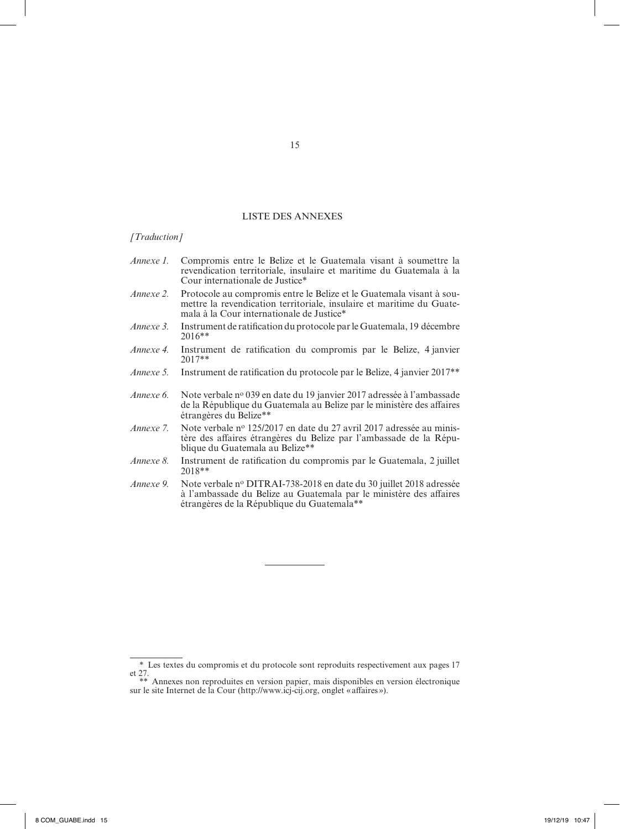# LISTE DES ANNEXES1\*

#### *[Traduction]*

- *Annexe 1.* Compromis entre le Belize et le Guatemala visant à soumettre la revendication territoriale, insulaire et maritime du Guatemala à la Cour internationale de Justice\*
- *Annexe 2.* Protocole au compromis entre le Belize et le Guatemala visant à soumettre la revendication territoriale, insulaire et maritime du Guatemala à la Cour internationale de Justice\*
- *Annexe 3.* Instrument de ratification du protocole par le Guatemala, 19 décembre 2016\*\*
- *Annexe 4.* Instrument de ratification du compromis par le Belize, 4 janvier 2017\*\*
- *Annexe 5.* Instrument de ratification du protocole par le Belize, 4 janvier 2017\*\*
- *Annexe 6.* Note verbale no 039 en date du 19 janvier 2017 adressée à l'ambassade de la République du Guatemala au Belize par le ministère des affaires étrangères du Belize\*\*
- *Annexe* 7. Note verbale nº 125/2017 en date du 27 avril 2017 adressée au ministère des affaires étrangères du Belize par l'ambassade de la République du Guatemala au Belize\*\*
- *Annexe 8.* Instrument de ratification du compromis par le Guatemala, 2 juillet 2018\*\*
- *Annexe 9.* Note verbale no DITRAI-738-2018 en date du 30 juillet 2018 adressée à l'ambassade du Belize au Guatemala par le ministère des affaires étrangères de la République du Guatemala\*\*

<sup>\*</sup> Les textes du compromis et du protocole sont reproduits respectivement aux pages 17 et 27.

<sup>\*\*</sup> Annexes non reproduites en version papier, mais disponibles en version électronique sur le site Internet de la Cour (http://www.icj-cij.org, onglet «affaires »).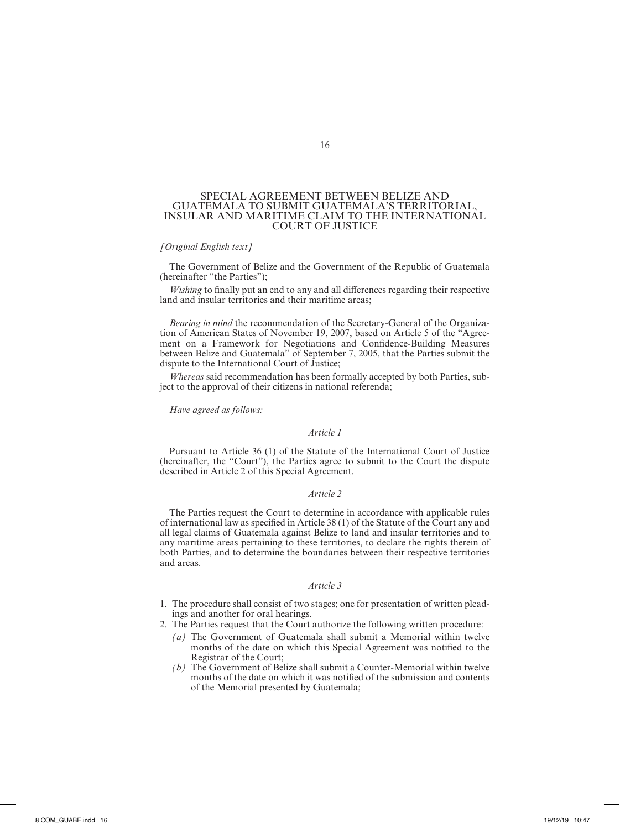### SPECIAL AGREEMENT BETWEEN BELIZE AND GUATEMALA TO SUBMIT GUATEMALA'S TERRITORIAL, INSULAR AND MARITIME CLAIM TO THE INTERNATIONAL COURT OF JUSTICE

# *[Original English text]*

The Government of Belize and the Government of the Republic of Guatemala (hereinafter "the Parties");

*Wishing* to finally put an end to any and all differences regarding their respective land and insular territories and their maritime areas;

*Bearing in mind* the recommendation of the Secretary-General of the Organization of American States of November 19, 2007, based on Article 5 of the "Agreement on a Framework for Negotiations and Confidence‑Building Measures between Belize and Guatemala" of September 7, 2005, that the Parties submit the dispute to the International Court of Justice;

*Whereas* said recommendation has been formally accepted by both Parties, subject to the approval of their citizens in national referenda;

# *Have agreed as follows:*

#### *Article 1*

Pursuant to Article 36 (1) of the Statute of the International Court of Justice (hereinafter, the "Court"), the Parties agree to submit to the Court the dispute described in Article 2 of this Special Agreement.

#### *Article 2*

The Parties request the Court to determine in accordance with applicable rules of international law as specified in Article 38 (1) of the Statute of the Court any and all legal claims of Guatemala against Belize to land and insular territories and to any maritime areas pertaining to these territories, to declare the rights therein of both Parties, and to determine the boundaries between their respective territories and areas.

#### *Article 3*

- 1. The procedure shall consist of two stages; one for presentation of written pleadings and another for oral hearings.
- 2. The Parties request that the Court authorize the following written procedure:
	- *(a)* The Government of Guatemala shall submit a Memorial within twelve months of the date on which this Special Agreement was notified to the Registrar of the Court;
	- *(b)* The Government of Belize shall submit a Counter-Memorial within twelve months of the date on which it was notified of the submission and contents of the Memorial presented by Guatemala;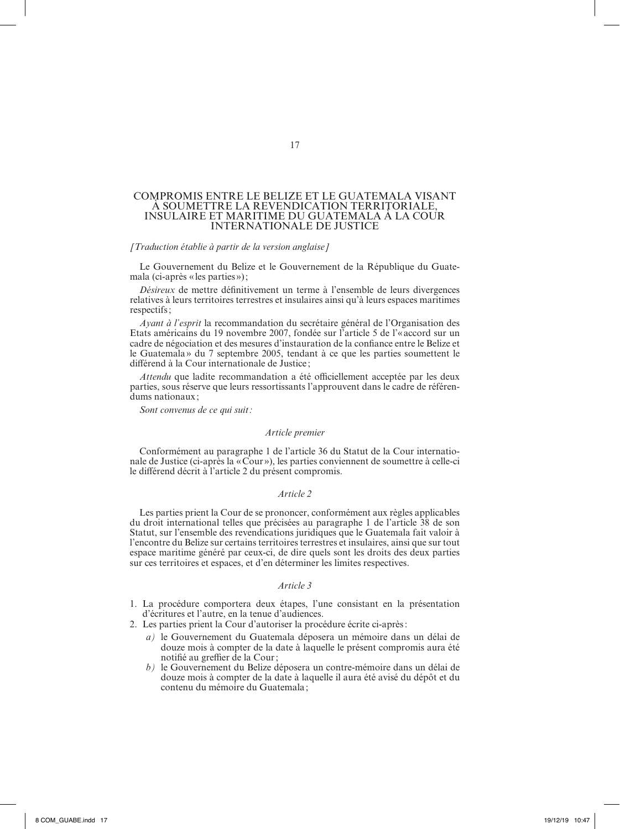#### COMPROMIS ENTRE LE BELIZE ET LE GUATEMALA VISANT À SOUMETTRE LA REVENDICATION TERRITORIALE, INSULAIRE ET MARITIME DU GUATEMALA À LA COUR INTERNATIONALE DE JUSTICE

#### *[Traduction établie à partir de la version anglaise]*

Le Gouvernement du Belize et le Gouvernement de la République du Guatemala (ci‑après « les parties»);

*Désireux* de mettre définitivement un terme à l'ensemble de leurs divergences relatives à leurs territoires terrestres et insulaires ainsi qu'à leurs espaces maritimes respectifs;

*Ayant à l'esprit* la recommandation du secrétaire général de l'Organisation des Etats américains du 19 novembre 2007, fondée sur l'article 5 de l'«accord sur un cadre de négociation et des mesures d'instauration de la confiance entre le Belize et le Guatemala» du 7 septembre 2005, tendant à ce que les parties soumettent le différend à la Cour internationale de Justice ;

*Attendu* que ladite recommandation a été officiellement acceptée par les deux parties, sous réserve que leurs ressortissants l'approuvent dans le cadre de référendums nationaux ;

*Sont convenus de ce qui suit:*

#### *Article premier*

Conformément au paragraphe 1 de l'article 36 du Statut de la Cour internationale de Justice (ci-après la «Cour »), les parties conviennent de soumettre à celle-ci le différend décrit à l'article 2 du présent compromis.

#### *Article 2*

Les parties prient la Cour de se prononcer, conformément aux règles applicables du droit international telles que précisées au paragraphe 1 de l'article 38 de son Statut, sur l'ensemble des revendications juridiques que le Guatemala fait valoir à l'encontre du Belize sur certains territoires terrestres et insulaires, ainsi que sur tout espace maritime généré par ceux-ci, de dire quels sont les droits des deux parties sur ces territoires et espaces, et d'en déterminer les limites respectives.

#### *Article 3*

- 1. La procédure comportera deux étapes, l'une consistant en la présentation d'écritures et l'autre, en la tenue d'audiences.
- 2. Les parties prient la Cour d'autoriser la procédure écrite ci-après:
	- *a)* le Gouvernement du Guatemala déposera un mémoire dans un délai de douze mois à compter de la date à laquelle le présent compromis aura été notifié au greffier de la Cour;
	- *b)* le Gouvernement du Belize déposera un contre-mémoire dans un délai de douze mois à compter de la date à laquelle il aura été avisé du dépôt et du contenu du mémoire du Guatemala ;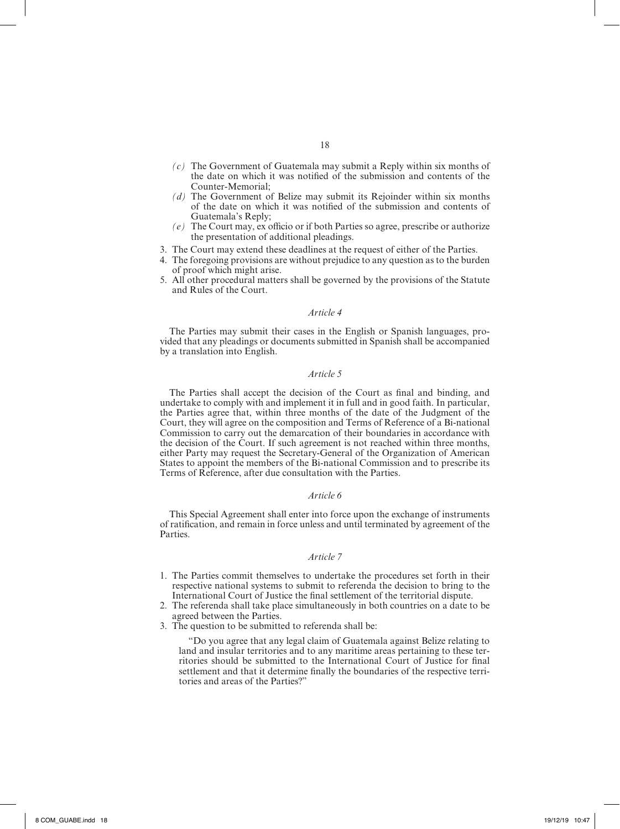- *(c)* The Government of Guatemala may submit a Reply within six months of the date on which it was notified of the submission and contents of the Counter‑Memorial;
- *(d)* The Government of Belize may submit its Rejoinder within six months of the date on which it was notified of the submission and contents of Guatemala's Reply;
- *(e)* The Court may, ex officio or if both Parties so agree, prescribe or authorize the presentation of additional pleadings.
- 3. The Court may extend these deadlines at the request of either of the Parties.
- 4. The foregoing provisions are without prejudice to any question as to the burden of proof which might arise.
- 5. All other procedural matters shall be governed by the provisions of the Statute and Rules of the Court.

The Parties may submit their cases in the English or Spanish languages, provided that any pleadings or documents submitted in Spanish shall be accompanied by a translation into English.

# *Article 5*

The Parties shall accept the decision of the Court as final and binding, and undertake to comply with and implement it in full and in good faith. In particular, the Parties agree that, within three months of the date of the Judgment of the Court, they will agree on the composition and Terms of Reference of a Bi‑national Commission to carry out the demarcation of their boundaries in accordance with the decision of the Court. If such agreement is not reached within three months, either Party may request the Secretary-General of the Organization of American States to appoint the members of the Bi‑national Commission and to prescribe its Terms of Reference, after due consultation with the Parties.

#### *Article 6*

This Special Agreement shall enter into force upon the exchange of instruments of ratification, and remain in force unless and until terminated by agreement of the Parties.

#### *Article 7*

- 1. The Parties commit themselves to undertake the procedures set forth in their respective national systems to submit to referenda the decision to bring to the International Court of Justice the final settlement of the territorial dispute.
- 2. The referenda shall take place simultaneously in both countries on a date to be agreed between the Parties.
- 3. The question to be submitted to referenda shall be:

"Do you agree that any legal claim of Guatemala against Belize relating to land and insular territories and to any maritime areas pertaining to these territories should be submitted to the International Court of Justice for final settlement and that it determine finally the boundaries of the respective territories and areas of the Parties?"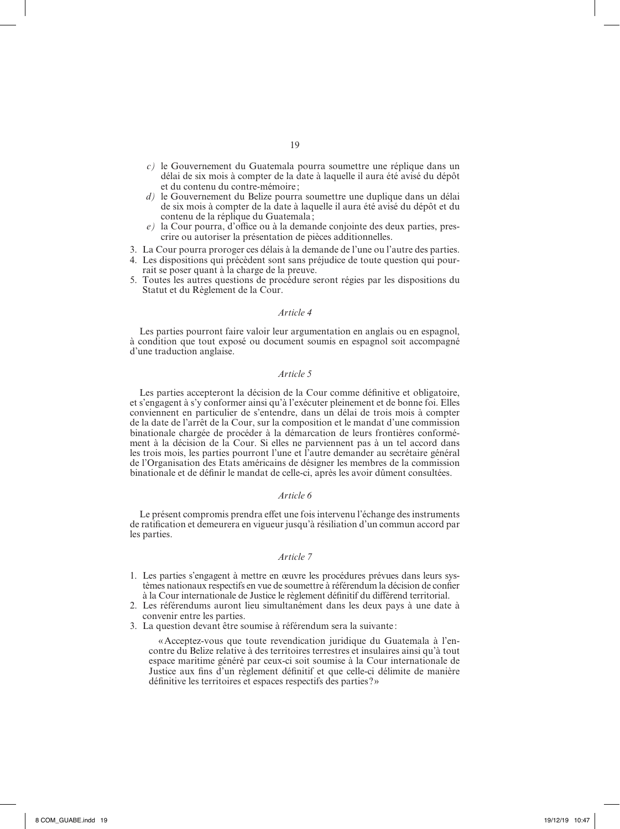- *c)* le Gouvernement du Guatemala pourra soumettre une réplique dans un délai de six mois à compter de la date à laquelle il aura été avisé du dépôt et du contenu du contre-mémoire ;
- *d)* le Gouvernement du Belize pourra soumettre une duplique dans un délai de six mois à compter de la date à laquelle il aura été avisé du dépôt et du contenu de la réplique du Guatemala ;
- *e*) la Cour pourra, d'office ou à la demande conjointe des deux parties, prescrire ou autoriser la présentation de pièces additionnelles.
- 3. La Cour pourra proroger ces délais à la demande de l'une ou l'autre des parties.
- 4. Les dispositions qui précèdent sont sans préjudice de toute question qui pourrait se poser quant à la charge de la preuve.
- 5. Toutes les autres questions de procédure seront régies par les dispositions du Statut et du Règlement de la Cour.

Les parties pourront faire valoir leur argumentation en anglais ou en espagnol, à condition que tout exposé ou document soumis en espagnol soit accompagné d'une traduction anglaise.

# *Article 5*

Les parties accepteront la décision de la Cour comme définitive et obligatoire, et s'engagent à s'y conformer ainsi qu'à l'exécuter pleinement et de bonne foi. Elles conviennent en particulier de s'entendre, dans un délai de trois mois à compter de la date de l'arrêt de la Cour, sur la composition et le mandat d'une commission binationale chargée de procéder à la démarcation de leurs frontières conformément à la décision de la Cour. Si elles ne parviennent pas à un tel accord dans les trois mois, les parties pourront l'une et l'autre demander au secrétaire général de l'Organisation des Etats américains de désigner les membres de la commission binationale et de définir le mandat de celle-ci, après les avoir dûment consultées.

#### *Article 6*

Le présent compromis prendra effet une fois intervenu l'échange des instruments de ratification et demeurera en vigueur jusqu'à résiliation d'un commun accord par les parties.

#### *Article 7*

- 1. Les parties s'engagent à mettre en œuvre les procédures prévues dans leurs systèmes nationaux respectifs en vue de soumettre à référendum la décision de confier à la Cour internationale de Justice le règlement définitif du différend territorial.
- 2. Les référendums auront lieu simultanément dans les deux pays à une date à convenir entre les parties.
- 3. La question devant être soumise à référendum sera la suivante :

«Acceptez-vous que toute revendication juridique du Guatemala à l'encontre du Belize relative à des territoires terrestres et insulaires ainsi qu'à tout espace maritime généré par ceux-ci soit soumise à la Cour internationale de Justice aux fins d'un règlement définitif et que celle-ci délimite de manière définitive les territoires et espaces respectifs des parties?»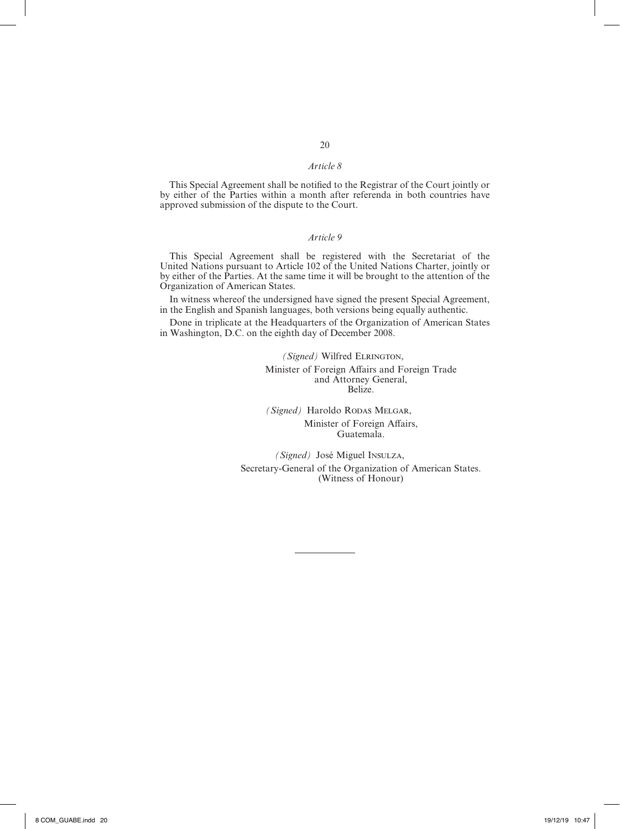This Special Agreement shall be notified to the Registrar of the Court jointly or by either of the Parties within a month after referenda in both countries have approved submission of the dispute to the Court.

# *Article 9*

This Special Agreement shall be registered with the Secretariat of the United Nations pursuant to Article 102 of the United Nations Charter, jointly or by either of the Parties. At the same time it will be brought to the attention of the Organization of American States.

In witness whereof the undersigned have signed the present Special Agreement, in the English and Spanish languages, both versions being equally authentic.

Done in triplicate at the Headquarters of the Organization of American States in Washington, D.C. on the eighth day of December 2008.

> *(Signed)* Wilfred ELRINGTON, Minister of Foreign Affairs and Foreign Trade and Attorney General, Belize.

*(Signed)* Haroldo RODAS MELGAR, Minister of Foreign Affairs, Guatemala.

*(Signed)* José Miguel Insulza, Secretary-General of the Organization of American States. (Witness of Honour)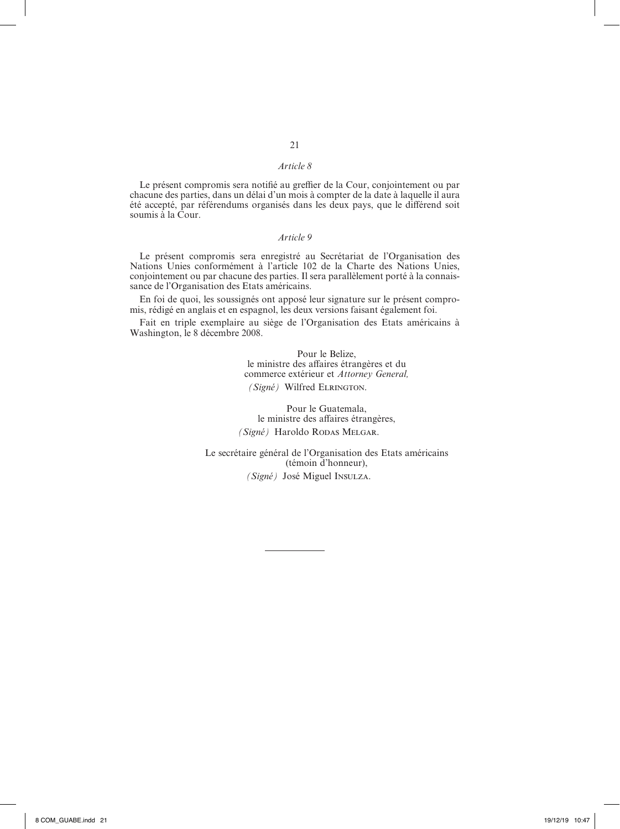Le présent compromis sera notifié au greffier de la Cour, conjointement ou par chacune des parties, dans un délai d'un mois à compter de la date à laquelle il aura été accepté, par référendums organisés dans les deux pays, que le différend soit soumis à la Cour.

# *Article 9*

Le présent compromis sera enregistré au Secrétariat de l'Organisation des Nations Unies conformément à l'article 102 de la Charte des Nations Unies, conjointement ou par chacune des parties. Il sera parallèlement porté à la connais‑ sance de l'Organisation des Etats américains.

En foi de quoi, les soussignés ont apposé leur signature sur le présent compromis, rédigé en anglais et en espagnol, les deux versions faisant également foi.

Fait en triple exemplaire au siège de l'Organisation des Etats américains à Washington, le 8 décembre 2008.

# Pour le Belize,

le ministre des affaires étrangères et du commerce extérieur et *Attorney General, (Signé)* Wilfred Elrington.

Pour le Guatemala, le ministre des affaires étrangères, *(Signé)* Haroldo Rodas Melgar.

Le secrétaire général de l'Organisation des Etats américains (témoin d'honneur),

*(Signé)* José Miguel Insulza.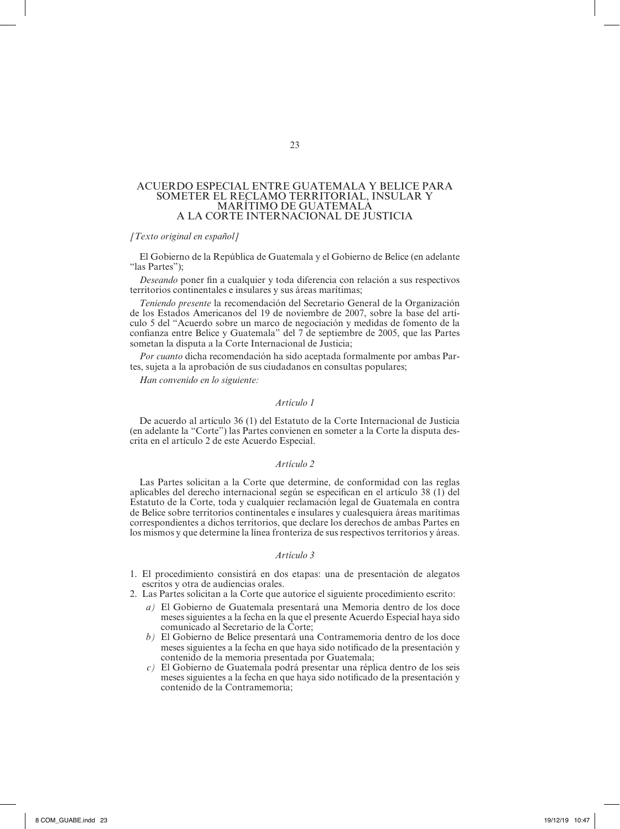# ACUERDO ESPECIAL ENTRE GUATEMALA Y BELICE PARA SOMETER EL RECLAMO TERRITORIAL, INSULAR Y MARÍTIMO DE GUATEMALA A LA CORTE INTERNACIONAL DE JUSTICIA

#### *[Texto original en español]*

El Gobierno de la República de Guatemala y el Gobierno de Belice (en adelante "las Partes");

*Deseando* poner fin a cualquier y toda diferencia con relación a sus respectivos territorios continentales e insulares y sus áreas marítimas;

*Teniendo presente* la recomendación del Secretario General de la Organización de los Estados Americanos del 19 de noviembre de 2007, sobre la base del artí‑ culo 5 del "Acuerdo sobre un marco de negociación y medidas de fomento de la confianza entre Belice y Guatemala" del 7 de septiembre de 2005, que las Partes sometan la disputa a la Corte Internacional de Justicia;

Por cuanto dicha recomendación ha sido aceptada formalmente por ambas Partes, sujeta a la aprobación de sus ciudadanos en consultas populares;

*Han convenido en lo siguiente:*

#### *Artículo 1*

De acuerdo al artículo 36 (1) del Estatuto de la Corte Internacional de Justicia (en adelante la "Corte") las Partes convienen en someter a la Corte la disputa des‑ crita en el artículo 2 de este Acuerdo Especial.

#### *Artículo 2*

Las Partes solicitan a la Corte que determine, de conformidad con las reglas aplicables del derecho internacional según se especifican en el artículo 38 (1) del Estatuto de la Corte, toda y cualquier reclamación legal de Guatemala en contra de Belice sobre territorios continentales e insulares y cualesquiera áreas marítimas correspondientes a dichos territorios, que declare los derechos de ambas Partes en los mismos y que determine la línea fronteriza de sus respectivos territorios y áreas.

#### *Artículo 3*

- 1. El procedimiento consistirá en dos etapas: una de presentación de alegatos escritos y otra de audiencias orales.
- 2. Las Partes solicitan a la Corte que autorice el siguiente procedimiento escrito:
	- *a)* El Gobierno de Guatemala presentará una Memoria dentro de los doce meses siguientes a la fecha en la que el presente Acuerdo Especial haya sido comunicado al Secretario de la Corte;
	- *b)* El Gobierno de Belice presentará una Contramemoria dentro de los doce meses siguientes a la fecha en que haya sido notificado de la presentación y contenido de la memoria presentada por Guatemala;
	- *c)* El Gobierno de Guatemala podrá presentar una réplica dentro de los seis meses siguientes a la fecha en que haya sido notificado de la presentación y contenido de la Contramemoria;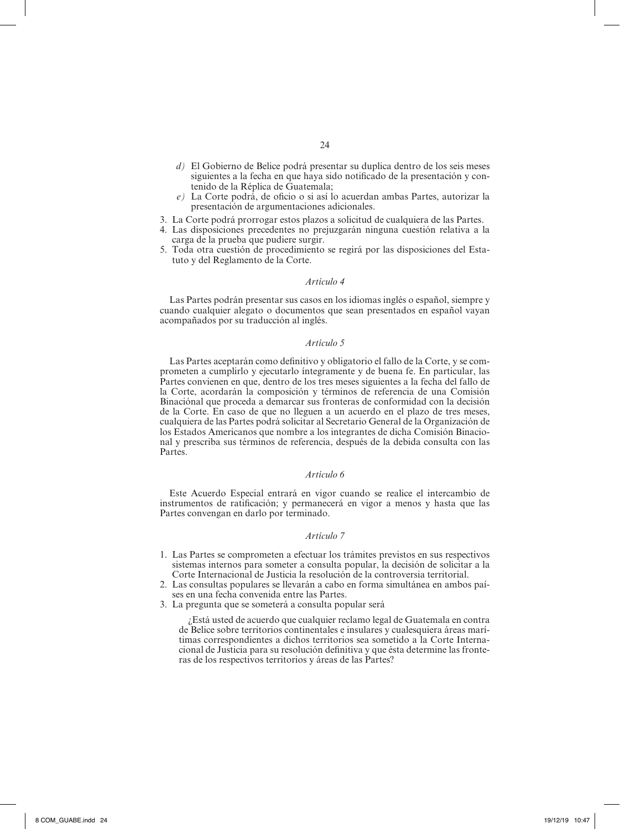- *d)* El Gobierno de Belice podrá presentar su duplica dentro de los seis meses siguientes a la fecha en que haya sido notificado de la presentación y contenido de la Réplica de Guatemala;
- *e)* La Corte podrá, de oficio o si así lo acuerdan ambas Partes, autorizar la presentación de argumentaciones adicionales.
- 3. La Corte podrá prorrogar estos plazos a solicitud de cualquiera de las Partes.
- 4. Las disposiciones precedentes no prejuzgarán ninguna cuestión relativa a la carga de la prueba que pudiere surgir.
- 5. Toda otra cuestión de procedimiento se regirá por las disposiciones del Esta‑ tuto y del Reglamento de la Corte.

# *Artículo 4*

Las Partes podrán presentar sus casos en los idiomas inglés o español, siempre y cuando cualquier alegato o documentos que sean presentados en español vayan acompañados por su traducción al inglés.

# *Artículo 5*

Las Partes aceptarán como definitivo y obligatorio el fallo de la Corte, y se comprometen a cumplirlo y ejecutarlo íntegramente y de buena fe. En particular, las Partes convienen en que, dentro de los tres meses siguientes a la fecha del fallo de la Corte, acordarán la composición y términos de referencia de una Comisión Binaciónal que proceda a demarcar sus fronteras de conformidad con la decisión de la Corte. En caso de que no lleguen a un acuerdo en el plazo de tres meses, cualquiera de las Partes podrá solicitar al Secretario General de la Organización de los Estados Americanos que nombre a los integrantes de dicha Comisión Binacional y prescriba sus términos de referencia, después de la debida consulta con las Partes.

#### *Artículo 6*

Este Acuerdo Especial entrará en vigor cuando se realice el intercambio de instrumentos de ratificación; y permanecerá en vigor a menos y hasta que las Partes convengan en darlo por terminado.

#### *Artículo 7*

- 1. Las Partes se comprometen a efectuar los trámites previstos en sus respectivos sistemas internos para someter a consulta popular, la decisión de solicitar a la Corte Internacional de Justicia la resolución de la controversia territorial.
- 2. Las consultas populares se llevarán a cabo en forma simultánea en ambos paí‑ ses en una fecha convenida entre las Partes.
- 3. La pregunta que se someterá a consulta popular será

¿Está usted de acuerdo que cualquier reclamo legal de Guatemala en contra de Belice sobre territorios continentales e insulares y cualesquiera áreas marí‑ timas correspondientes a dichos territorios sea sometido a la Corte Internacional de Justicia para su resolución definitiva y que ésta determine las fronteras de los respectivos territorios y áreas de las Partes?